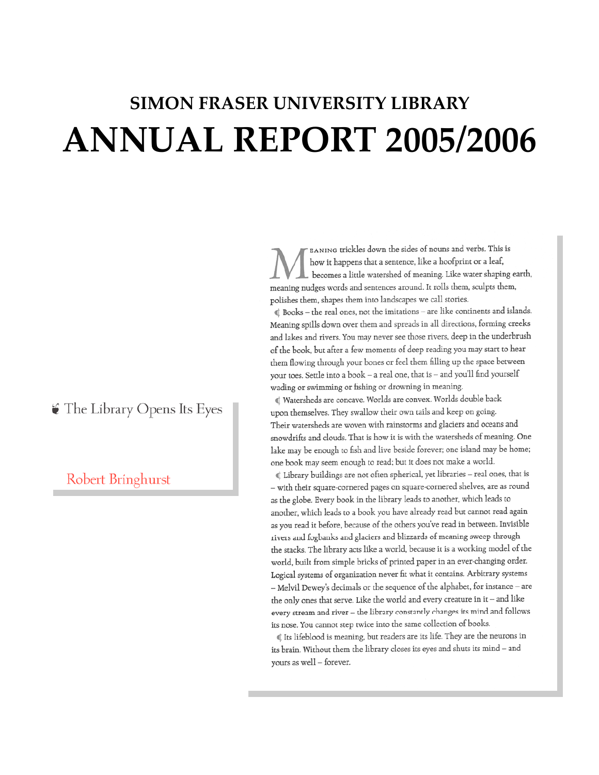# **SIMON FRASER UNIVERSITY LIBRARY ANNUAL REPORT 2005/2006**

EANING trickles down the sides of nouns and verbs. This is how it happens that a sentence, like a hoofprint or a leaf, becomes a little watershed of meaning. Like water shaping earth, meaning nudges words and sentences around. It rolls them, sculpts them, polishes them, shapes them into landscapes we call stories.

 $\mathbb I$  Books – the real ones, not the imitations – are like continents and islands. Meaning spills down over them and spreads in all directions, forming creeks and lakes and rivers. You may never see those rivers, deep in the underbrush of the book, but after a few moments of deep reading you may start to hear them flowing through your bones or feel them filling up the space between your toes. Settle into a book - a real one, that is - and you'll find yourself wading or swimming or fishing or drowning in meaning.

Vatersheds are concave. Worlds are convex. Worlds double back upon themselves. They swallow their own tails and keep on going. Their watersheds are woven with rainstorms and glaciers and oceans and snowdrifts and clouds. That is how it is with the watersheds of meaning. One lake may be enough to fish and live beside forever; one island may be home; one book may seem enough to read; but it does not make a world.

Library buildings are not often spherical, yet libraries - real ones, that is - with their square-cornered pages on square-cornered shelves, are as round as the globe. Every book in the library leads to another, which leads to another, which leads to a book you have already read but cannot read again as you read it before, because of the others you've read in between. Invisible rivers and fogbanks and glaciers and blizzards of meaning sweep through the stacks. The library acts like a world, because it is a working model of the world, built from simple bricks of printed paper in an ever-changing order. Logical systems of organization never fit what it contains. Arbitrary systems - Melvil Dewey's decimals or the sequence of the alphabet, for instance - are the only ones that serve. Like the world and every creature in it – and like every stream and river - the library constantly changes its mind and follows its nose. You cannot step twice into the same collection of books.

Its lifeblood is meaning, but readers are its life. They are the neurons in its brain. Without them the library closes its eyes and shuts its mind - and yours as well - forever.

 $\bullet$  The Library Opens Its Eyes

Robert Bringhurst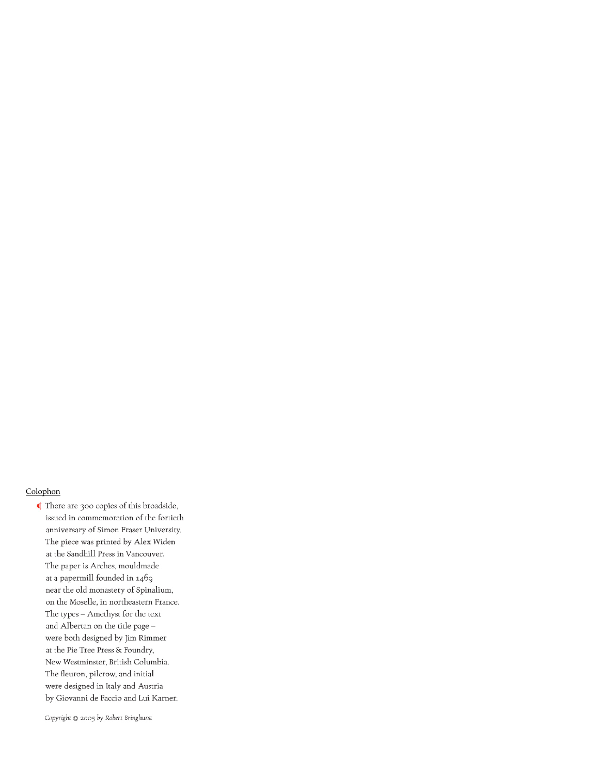#### Colophon

There are 300 copies of this broadside, issued in commemoration of the fortieth anniversary of Simon Fraser University. The piece was printed by Alex Widen at the Sandhill Press in Vancouver. The paper is Arches, mouldmade at a papermill founded in 1469 near the old monastery of Spinalium, on the Moselle, in northeastern France. The types - Amethyst for the text and Albertan on the title page were both designed by Jim Rimmer at the Pie Tree Press & Foundry, New Westminster, British Columbia. The fleuron, pilcrow, and initial were designed in Italy and Austria by Giovanni de Faccio and Lui Karner.

Copyright @ 2005 by Robert Bringhurst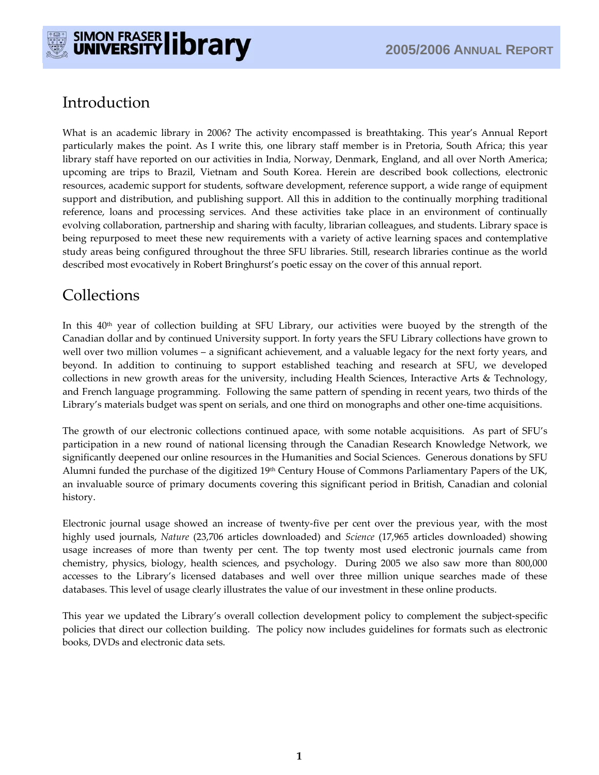

# Introduction

What is an academic library in 2006? The activity encompassed is breathtaking. This year's Annual Report particularly makes the point. As I write this, one library staff member is in Pretoria, South Africa; this year library staff have reported on our activities in India, Norway, Denmark, England, and all over North America; upcoming are trips to Brazil, Vietnam and South Korea. Herein are described book collections, electronic resources, academic support for students, software development, reference support, a wide range of equipment support and distribution, and publishing support. All this in addition to the continually morphing traditional reference, loans and processing services. And these activities take place in an environment of continually evolving collaboration, partnership and sharing with faculty, librarian colleagues, and students. Library space is being repurposed to meet these new requirements with a variety of active learning spaces and contemplative study areas being configured throughout the three SFU libraries. Still, research libraries continue as the world described most evocatively in Robert Bringhurst's poetic essay on the cover of this annual report.

# **Collections**

In this 40<sup>th</sup> year of collection building at SFU Library, our activities were buoyed by the strength of the Canadian dollar and by continued University support. In forty years the SFU Library collections have grown to well over two million volumes – a significant achievement, and a valuable legacy for the next forty years, and beyond. In addition to continuing to support established teaching and research at SFU, we developed collections in new growth areas for the university, including Health Sciences, Interactive Arts & Technology, and French language programming. Following the same pattern of spending in recent years, two thirds of the Library's materials budget was spent on serials, and one third on monographs and other one-time acquisitions.

The growth of our electronic collections continued apace, with some notable acquisitions. As part of SFU's participation in a new round of national licensing through the Canadian Research Knowledge Network, we significantly deepened our online resources in the Humanities and Social Sciences. Generous donations by SFU Alumni funded the purchase of the digitized 19<sup>th</sup> Century House of Commons Parliamentary Papers of the UK, an invaluable source of primary documents covering this significant period in British, Canadian and colonial history.

Electronic journal usage showed an increase of twenty-five per cent over the previous year, with the most highly used journals, *Nature* (23,706 articles downloaded) and *Science* (17,965 articles downloaded) showing usage increases of more than twenty per cent. The top twenty most used electronic journals came from chemistry, physics, biology, health sciences, and psychology. During 2005 we also saw more than 800,000 accesses to the Library's licensed databases and well over three million unique searches made of these databases. This level of usage clearly illustrates the value of our investment in these online products.

This year we updated the Library's overall collection development policy to complement the subject-specific policies that direct our collection building. The policy now includes guidelines for formats such as electronic books, DVDs and electronic data sets.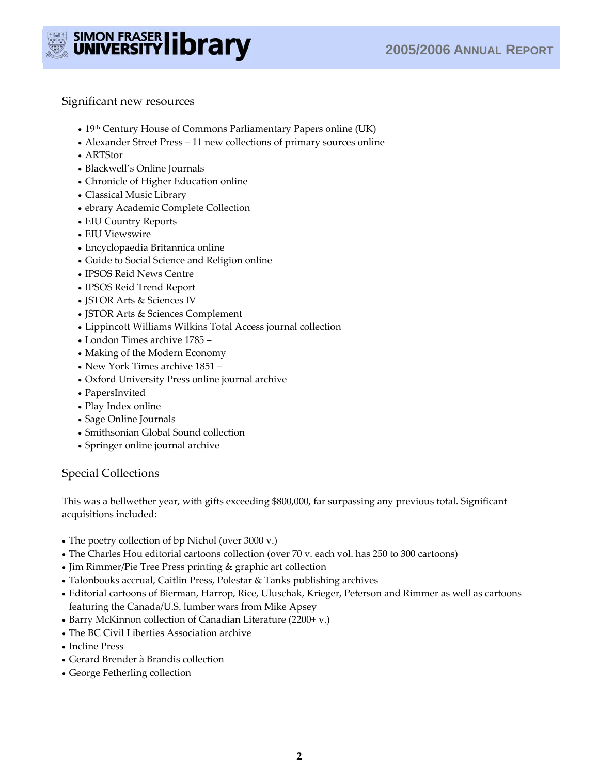

Significant new resources

- 19<sup>th</sup> Century House of Commons Parliamentary Papers online (UK)
- Alexander Street Press 11 new collections of primary sources online
- ARTStor
- Blackwell's Online Journals
- Chronicle of Higher Education online
- Classical Music Library
- ebrary Academic Complete Collection
- EIU Country Reports
- EIU Viewswire
- Encyclopaedia Britannica online
- Guide to Social Science and Religion online
- IPSOS Reid News Centre
- IPSOS Reid Trend Report
- JSTOR Arts & Sciences IV
- JSTOR Arts & Sciences Complement
- Lippincott Williams Wilkins Total Access journal collection
- London Times archive 1785 –
- Making of the Modern Economy
- New York Times archive 1851 –
- Oxford University Press online journal archive
- PapersInvited
- Play Index online
- Sage Online Journals
- Smithsonian Global Sound collection
- Springer online journal archive

## Special Collections

This was a bellwether year, with gifts exceeding \$800,000, far surpassing any previous total. Significant acquisitions included:

- The poetry collection of bp Nichol (over 3000 v.)
- The Charles Hou editorial cartoons collection (over 70 v. each vol. has 250 to 300 cartoons)
- Jim Rimmer/Pie Tree Press printing & graphic art collection
- Talonbooks accrual, Caitlin Press, Polestar & Tanks publishing archives
- Editorial cartoons of Bierman, Harrop, Rice, Uluschak, Krieger, Peterson and Rimmer as well as cartoons featuring the Canada/U.S. lumber wars from Mike Apsey
- Barry McKinnon collection of Canadian Literature (2200+ v.)
- The BC Civil Liberties Association archive
- Incline Press
- Gerard Brender à Brandis collection
- George Fetherling collection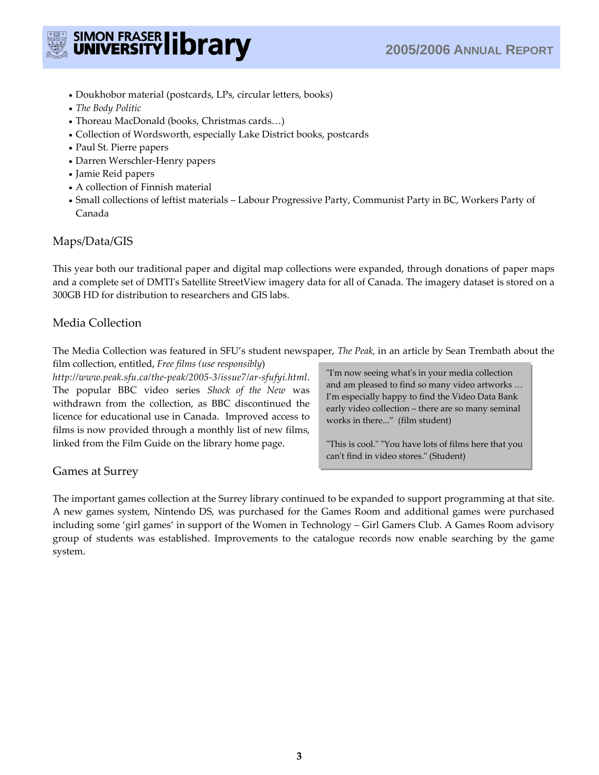

- Doukhobor material (postcards, LPs, circular letters, books)
- *The Body Politic*
- Thoreau MacDonald (books, Christmas cards…)
- Collection of Wordsworth, especially Lake District books, postcards
- Paul St. Pierre papers
- Darren Werschler-Henry papers
- Jamie Reid papers
- A collection of Finnish material
- Small collections of leftist materials Labour Progressive Party, Communist Party in BC, Workers Party of Canada

## Maps/Data/GIS

This year both our traditional paper and digital map collections were expanded, through donations of paper maps and a complete set of DMTI's Satellite StreetView imagery data for all of Canada. The imagery dataset is stored on a 300GB HD for distribution to researchers and GIS labs.

# Media Collection

The Media Collection was featured in SFU's student newspaper, *The Peak,* in an article by Sean Trembath about the

film collection, entitled, *Free films (use responsibly*) *http://www.peak.sfu.ca/the-peak/2005-3/issue7/ar-sfufyi.html*. The popular BBC video series *Shock of the New* was withdrawn from the collection, as BBC discontinued the licence for educational use in Canada. Improved access to films is now provided through a monthly list of new films, linked from the Film Guide on the library home page.

"I'm now seeing what's in your media collection and am pleased to find so many video artworks … I'm especially happy to find the Video Data Bank early video collection – there are so many seminal works in there..." (film student)

"This is cool." "You have lots of films here that you can't find in video stores." (Student)

## Games at Surrey

The important games collection at the Surrey library continued to be expanded to support programming at that site. A new games system, Nintendo DS, was purchased for the Games Room and additional games were purchased including some 'girl games' in support of the Women in Technology – Girl Gamers Club. A Games Room advisory group of students was established. Improvements to the catalogue records now enable searching by the game system.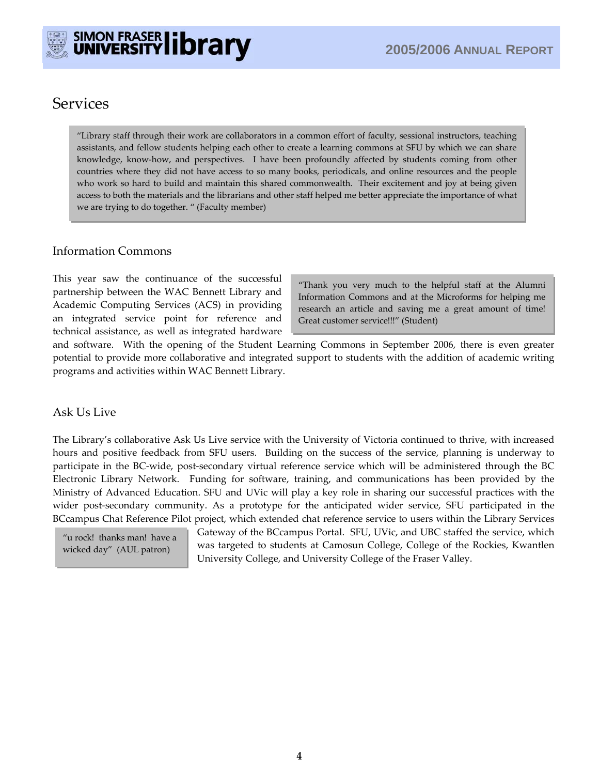

# **Services**

"Library staff through their work are collaborators in a common effort of faculty, sessional instructors, teaching assistants, and fellow students helping each other to create a learning commons at SFU by which we can share knowledge, know-how, and perspectives. I have been profoundly affected by students coming from other countries where they did not have access to so many books, periodicals, and online resources and the people who work so hard to build and maintain this shared commonwealth. Their excitement and joy at being given access to both the materials and the librarians and other staff helped me better appreciate the importance of what we are trying to do together. " (Faculty member)

## Information Commons

This year saw the continuance of the successful partnership between the WAC Bennett Library and Academic Computing Services (ACS) in providing an integrated service point for reference and technical assistance, as well as integrated hardware

"Thank you very much to the helpful staff at the Alumni Information Commons and at the Microforms for helping me research an article and saving me a great amount of time! Great customer service!!!" (Student)

and software. With the opening of the Student Learning Commons in September 2006, there is even greater potential to provide more collaborative and integrated support to students with the addition of academic writing programs and activities within WAC Bennett Library.

## Ask Us Live

The Library's collaborative Ask Us Live service with the University of Victoria continued to thrive, with increased hours and positive feedback from SFU users. Building on the success of the service, planning is underway to participate in the BC-wide, post-secondary virtual reference service which will be administered through the BC Electronic Library Network. Funding for software, training, and communications has been provided by the Ministry of Advanced Education. SFU and UVic will play a key role in sharing our successful practices with the wider post-secondary community. As a prototype for the anticipated wider service, SFU participated in the BCcampus Chat Reference Pilot project, which extended chat reference service to users within the Library Services

"u rock! thanks man! have a wicked day" (AUL patron)

Gateway of the BCcampus Portal. SFU, UVic, and UBC staffed the service, which was targeted to students at Camosun College, College of the Rockies, Kwantlen University College, and University College of the Fraser Valley.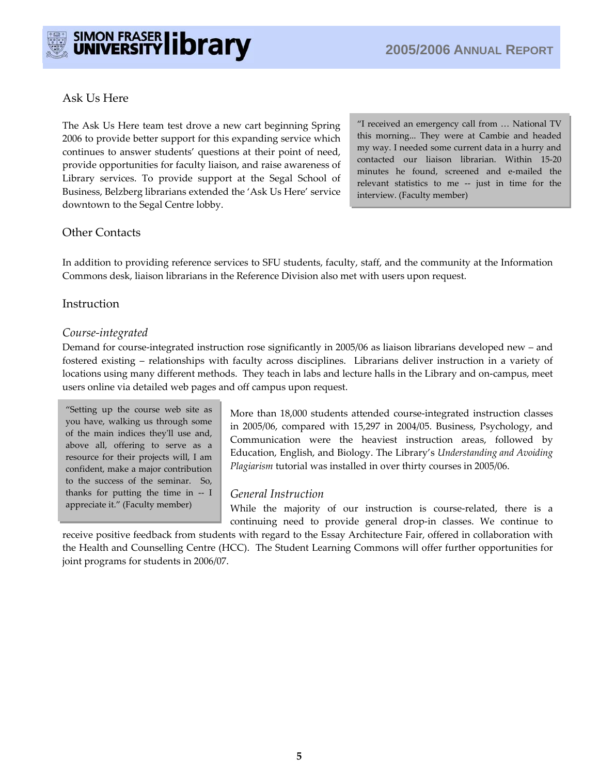# Ask Us Here

The Ask Us Here team test drove a new cart beginning Spring 2006 to provide better support for this expanding service which continues to answer students' questions at their point of need, provide opportunities for faculty liaison, and raise awareness of Library services. To provide support at the Segal School of Business, Belzberg librarians extended the 'Ask Us Here' service downtown to the Segal Centre lobby.

"I received an emergency call from … National TV this morning... They were at Cambie and headed my way. I needed some current data in a hurry and contacted our liaison librarian. Within 15-20 minutes he found, screened and e-mailed the relevant statistics to me -- just in time for the interview. (Faculty member)

## Other Contacts

In addition to providing reference services to SFU students, faculty, staff, and the community at the Information Commons desk, liaison librarians in the Reference Division also met with users upon request.

## Instruction

#### *Course-integrated*

Demand for course-integrated instruction rose significantly in 2005/06 as liaison librarians developed new – and fostered existing – relationships with faculty across disciplines. Librarians deliver instruction in a variety of locations using many different methods. They teach in labs and lecture halls in the Library and on-campus, meet users online via detailed web pages and off campus upon request.

"Setting up the course web site as you have, walking us through some of the main indices they'll use and, above all, offering to serve as a resource for their projects will, I am confident, make a major contribution to the success of the seminar. So, thanks for putting the time in -- I appreciate it." (Faculty member)

More than 18,000 students attended course-integrated instruction classes in 2005/06, compared with 15,297 in 2004/05. Business, Psychology, and Communication were the heaviest instruction areas, followed by Education, English, and Biology. The Library's *Understanding and Avoiding Plagiarism* tutorial was installed in over thirty courses in 2005/06.

#### *General Instruction*

While the majority of our instruction is course-related, there is a continuing need to provide general drop-in classes. We continue to

receive positive feedback from students with regard to the Essay Architecture Fair, offered in collaboration with the Health and Counselling Centre (HCC). The Student Learning Commons will offer further opportunities for joint programs for students in 2006/07.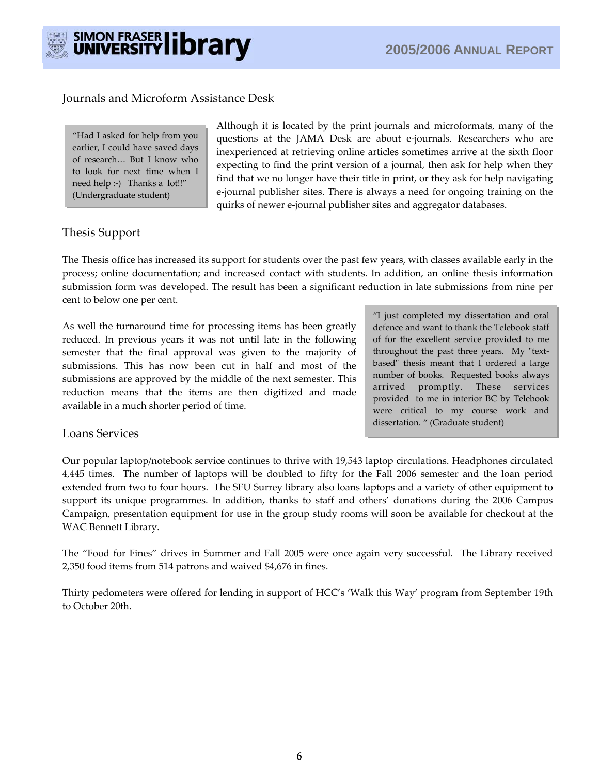

#### Journals and Microform Assistance Desk

"Had I asked for help from you earlier, I could have saved days of research… But I know who to look for next time when I need help :-) Thanks a lot!!" (Undergraduate student)

Although it is located by the print journals and microformats, many of the questions at the JAMA Desk are about e-journals. Researchers who are inexperienced at retrieving online articles sometimes arrive at the sixth floor expecting to find the print version of a journal, then ask for help when they find that we no longer have their title in print, or they ask for help navigating e-journal publisher sites. There is always a need for ongoing training on the quirks of newer e-journal publisher sites and aggregator databases.

## Thesis Support

The Thesis office has increased its support for students over the past few years, with classes available early in the process; online documentation; and increased contact with students. In addition, an online thesis information submission form was developed. The result has been a significant reduction in late submissions from nine per cent to below one per cent.

As well the turnaround time for processing items has been greatly reduced. In previous years it was not until late in the following semester that the final approval was given to the majority of submissions. This has now been cut in half and most of the submissions are approved by the middle of the next semester. This reduction means that the items are then digitized and made available in a much shorter period of time.

"I just completed my dissertation and oral defence and want to thank the Telebook staff of for the excellent service provided to me throughout the past three years. My "textbased" thesis meant that I ordered a large number of books. Requested books always arrived promptly. These services provided to me in interior BC by Telebook were critical to my course work and dissertation. " (Graduate student)

#### Loans Services

Our popular laptop/notebook service continues to thrive with 19,543 laptop circulations. Headphones circulated 4,445 times. The number of laptops will be doubled to fifty for the Fall 2006 semester and the loan period extended from two to four hours. The SFU Surrey library also loans laptops and a variety of other equipment to support its unique programmes. In addition, thanks to staff and others' donations during the 2006 Campus Campaign, presentation equipment for use in the group study rooms will soon be available for checkout at the WAC Bennett Library.

The "Food for Fines" drives in Summer and Fall 2005 were once again very successful. The Library received 2,350 food items from 514 patrons and waived \$4,676 in fines.

Thirty pedometers were offered for lending in support of HCC's 'Walk this Way' program from September 19th to October 20th.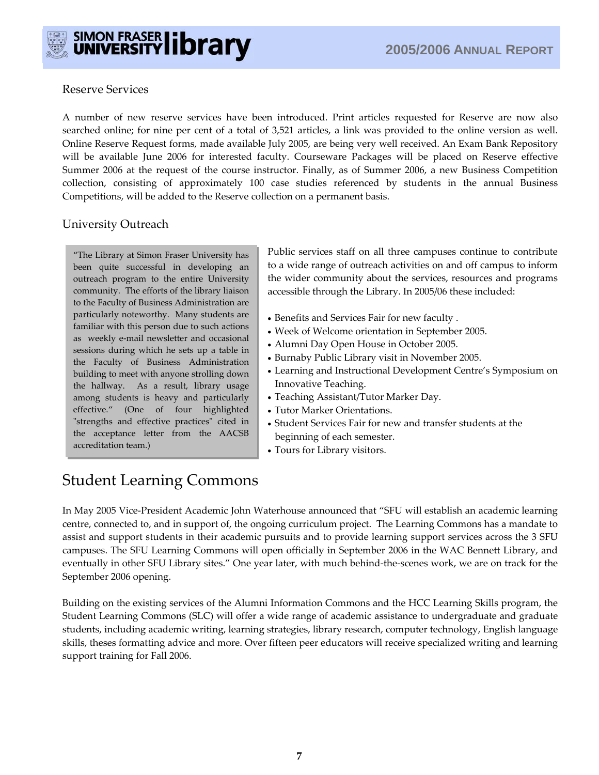

## Reserve Services

A number of new reserve services have been introduced. Print articles requested for Reserve are now also searched online; for nine per cent of a total of 3,521 articles, a link was provided to the online version as well. Online Reserve Request forms, made available July 2005, are being very well received. An Exam Bank Repository will be available June 2006 for interested faculty. Courseware Packages will be placed on Reserve effective Summer 2006 at the request of the course instructor. Finally, as of Summer 2006, a new Business Competition collection, consisting of approximately 100 case studies referenced by students in the annual Business Competitions, will be added to the Reserve collection on a permanent basis.

# University Outreach

"The Library at Simon Fraser University has been quite successful in developing an outreach program to the entire University community. The efforts of the library liaison to the Faculty of Business Administration are particularly noteworthy. Many students are familiar with this person due to such actions as weekly e-mail newsletter and occasional sessions during which he sets up a table in the Faculty of Business Administration building to meet with anyone strolling down the hallway. As a result, library usage among students is heavy and particularly effective." (One of four highlighted "strengths and effective practices" cited in the acceptance letter from the AACSB accreditation team.)

Public services staff on all three campuses continue to contribute to a wide range of outreach activities on and off campus to inform the wider community about the services, resources and programs accessible through the Library. In 2005/06 these included:

- Benefits and Services Fair for new faculty .
- Week of Welcome orientation in September 2005.
- Alumni Day Open House in October 2005.
- Burnaby Public Library visit in November 2005.
- Learning and Instructional Development Centre's Symposium on Innovative Teaching.
- Teaching Assistant/Tutor Marker Day.
- Tutor Marker Orientations.
- Student Services Fair for new and transfer students at the beginning of each semester.
- Tours for Library visitors.

# Student Learning Commons

In May 2005 Vice-President Academic John Waterhouse announced that "SFU will establish an academic learning centre, connected to, and in support of, the ongoing curriculum project. The Learning Commons has a mandate to assist and support students in their academic pursuits and to provide learning support services across the 3 SFU campuses. The SFU Learning Commons will open officially in September 2006 in the WAC Bennett Library, and eventually in other SFU Library sites." One year later, with much behind-the-scenes work, we are on track for the September 2006 opening.

Building on the existing services of the Alumni Information Commons and the HCC Learning Skills program, the Student Learning Commons (SLC) will offer a wide range of academic assistance to undergraduate and graduate students, including academic writing, learning strategies, library research, computer technology, English language skills, theses formatting advice and more. Over fifteen peer educators will receive specialized writing and learning support training for Fall 2006.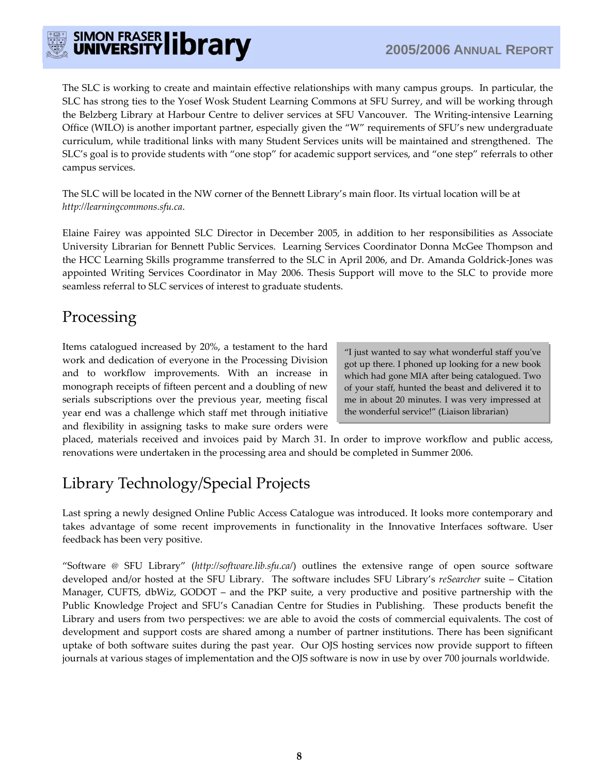

The SLC is working to create and maintain effective relationships with many campus groups. In particular, the SLC has strong ties to the Yosef Wosk Student Learning Commons at SFU Surrey, and will be working through the Belzberg Library at Harbour Centre to deliver services at SFU Vancouver. The Writing-intensive Learning Office (WILO) is another important partner, especially given the "W" requirements of SFU's new undergraduate curriculum, while traditional links with many Student Services units will be maintained and strengthened. The SLC's goal is to provide students with "one stop" for academic support services, and "one step" referrals to other campus services.

The SLC will be located in the NW corner of the Bennett Library's main floor. Its virtual location will be at *http://learningcommons.sfu.ca*.

Elaine Fairey was appointed SLC Director in December 2005, in addition to her responsibilities as Associate University Librarian for Bennett Public Services. Learning Services Coordinator Donna McGee Thompson and the HCC Learning Skills programme transferred to the SLC in April 2006, and Dr. Amanda Goldrick-Jones was appointed Writing Services Coordinator in May 2006. Thesis Support will move to the SLC to provide more seamless referral to SLC services of interest to graduate students.

# Processing

Items catalogued increased by 20%, a testament to the hard work and dedication of everyone in the Processing Division and to workflow improvements. With an increase in monograph receipts of fifteen percent and a doubling of new serials subscriptions over the previous year, meeting fiscal year end was a challenge which staff met through initiative and flexibility in assigning tasks to make sure orders were

"I just wanted to say what wonderful staff you've got up there. I phoned up looking for a new book which had gone MIA after being catalogued. Two of your staff, hunted the beast and delivered it to me in about 20 minutes. I was very impressed at the wonderful service!" (Liaison librarian)

placed, materials received and invoices paid by March 31. In order to improve workflow and public access, renovations were undertaken in the processing area and should be completed in Summer 2006.

# Library Technology/Special Projects

Last spring a newly designed Online Public Access Catalogue was introduced. It looks more contemporary and takes advantage of some recent improvements in functionality in the Innovative Interfaces software. User feedback has been very positive.

"Software @ SFU Library" (*http://software.lib.sfu.ca/*) outlines the extensive range of open source software developed and/or hosted at the SFU Library. The software includes SFU Library's *reSearcher* suite – Citation Manager, CUFTS, dbWiz, GODOT – and the PKP suite, a very productive and positive partnership with the Public Knowledge Project and SFU's Canadian Centre for Studies in Publishing. These products benefit the Library and users from two perspectives: we are able to avoid the costs of commercial equivalents. The cost of development and support costs are shared among a number of partner institutions. There has been significant uptake of both software suites during the past year. Our OJS hosting services now provide support to fifteen journals at various stages of implementation and the OJS software is now in use by over 700 journals worldwide.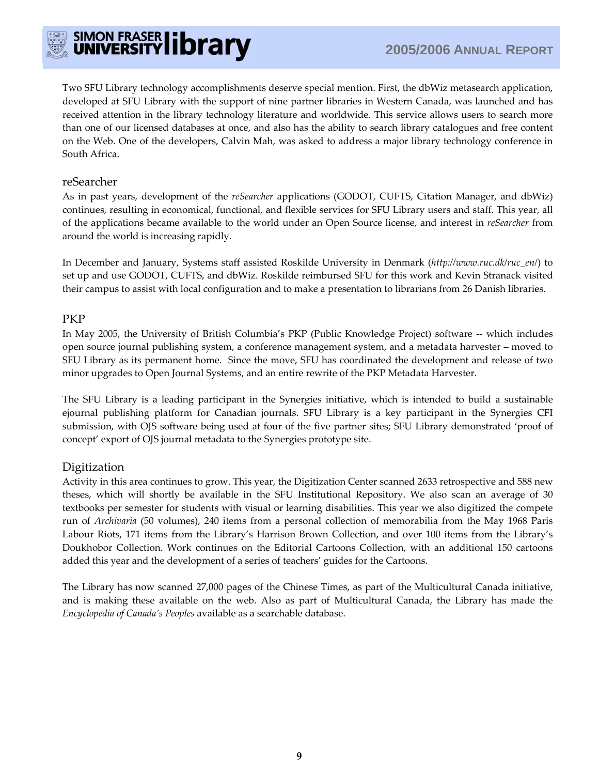

Two SFU Library technology accomplishments deserve special mention. First, the dbWiz metasearch application, developed at SFU Library with the support of nine partner libraries in Western Canada, was launched and has received attention in the library technology literature and worldwide. This service allows users to search more than one of our licensed databases at once, and also has the ability to search library catalogues and free content on the Web. One of the developers, Calvin Mah, was asked to address a major library technology conference in South Africa.

#### reSearcher

As in past years, development of the *reSearcher* applications (GODOT, CUFTS, Citation Manager, and dbWiz) continues, resulting in economical, functional, and flexible services for SFU Library users and staff. This year, all of the applications became available to the world under an Open Source license, and interest in *reSearcher* from around the world is increasing rapidly.

In December and January, Systems staff assisted Roskilde University in Denmark (*http://www.ruc.dk/ruc\_en/*) to set up and use GODOT, CUFTS, and dbWiz. Roskilde reimbursed SFU for this work and Kevin Stranack visited their campus to assist with local configuration and to make a presentation to librarians from 26 Danish libraries.

#### PKP

In May 2005, the University of British Columbia's PKP (Public Knowledge Project) software -- which includes open source journal publishing system, a conference management system, and a metadata harvester – moved to SFU Library as its permanent home. Since the move, SFU has coordinated the development and release of two minor upgrades to Open Journal Systems, and an entire rewrite of the PKP Metadata Harvester.

The SFU Library is a leading participant in the Synergies initiative, which is intended to build a sustainable ejournal publishing platform for Canadian journals. SFU Library is a key participant in the Synergies CFI submission, with OJS software being used at four of the five partner sites; SFU Library demonstrated 'proof of concept' export of OJS journal metadata to the Synergies prototype site.

## Digitization

Activity in this area continues to grow. This year, the Digitization Center scanned 2633 retrospective and 588 new theses, which will shortly be available in the SFU Institutional Repository. We also scan an average of 30 textbooks per semester for students with visual or learning disabilities. This year we also digitized the compete run of *Archivaria* (50 volumes), 240 items from a personal collection of memorabilia from the May 1968 Paris Labour Riots, 171 items from the Library's Harrison Brown Collection, and over 100 items from the Library's Doukhobor Collection. Work continues on the Editorial Cartoons Collection, with an additional 150 cartoons added this year and the development of a series of teachers' guides for the Cartoons.

The Library has now scanned 27,000 pages of the Chinese Times, as part of the Multicultural Canada initiative, and is making these available on the web. Also as part of Multicultural Canada, the Library has made the *Encyclopedia of Canada's Peoples* available as a searchable database.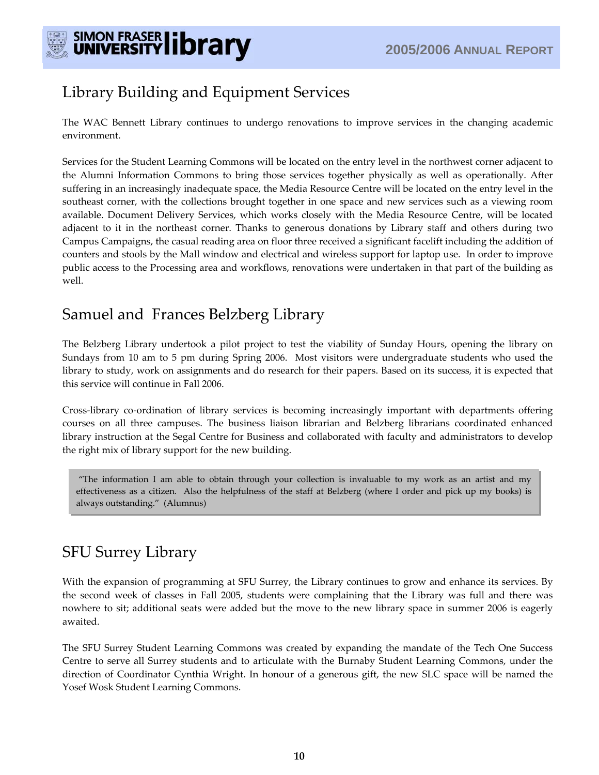

# Library Building and Equipment Services

The WAC Bennett Library continues to undergo renovations to improve services in the changing academic environment.

Services for the Student Learning Commons will be located on the entry level in the northwest corner adjacent to the Alumni Information Commons to bring those services together physically as well as operationally. After suffering in an increasingly inadequate space, the Media Resource Centre will be located on the entry level in the southeast corner, with the collections brought together in one space and new services such as a viewing room available. Document Delivery Services, which works closely with the Media Resource Centre, will be located adjacent to it in the northeast corner. Thanks to generous donations by Library staff and others during two Campus Campaigns, the casual reading area on floor three received a significant facelift including the addition of counters and stools by the Mall window and electrical and wireless support for laptop use. In order to improve public access to the Processing area and workflows, renovations were undertaken in that part of the building as well.

# Samuel and Frances Belzberg Library

The Belzberg Library undertook a pilot project to test the viability of Sunday Hours, opening the library on Sundays from 10 am to 5 pm during Spring 2006. Most visitors were undergraduate students who used the library to study, work on assignments and do research for their papers. Based on its success, it is expected that this service will continue in Fall 2006.

Cross-library co-ordination of library services is becoming increasingly important with departments offering courses on all three campuses. The business liaison librarian and Belzberg librarians coordinated enhanced library instruction at the Segal Centre for Business and collaborated with faculty and administrators to develop the right mix of library support for the new building.

"The information I am able to obtain through your collection is invaluable to my work as an artist and my effectiveness as a citizen. Also the helpfulness of the staff at Belzberg (where I order and pick up my books) is always outstanding." (Alumnus)

# SFU Surrey Library

With the expansion of programming at SFU Surrey, the Library continues to grow and enhance its services. By the second week of classes in Fall 2005, students were complaining that the Library was full and there was nowhere to sit; additional seats were added but the move to the new library space in summer 2006 is eagerly awaited.

The SFU Surrey Student Learning Commons was created by expanding the mandate of the Tech One Success Centre to serve all Surrey students and to articulate with the Burnaby Student Learning Commons, under the direction of Coordinator Cynthia Wright. In honour of a generous gift, the new SLC space will be named the Yosef Wosk Student Learning Commons.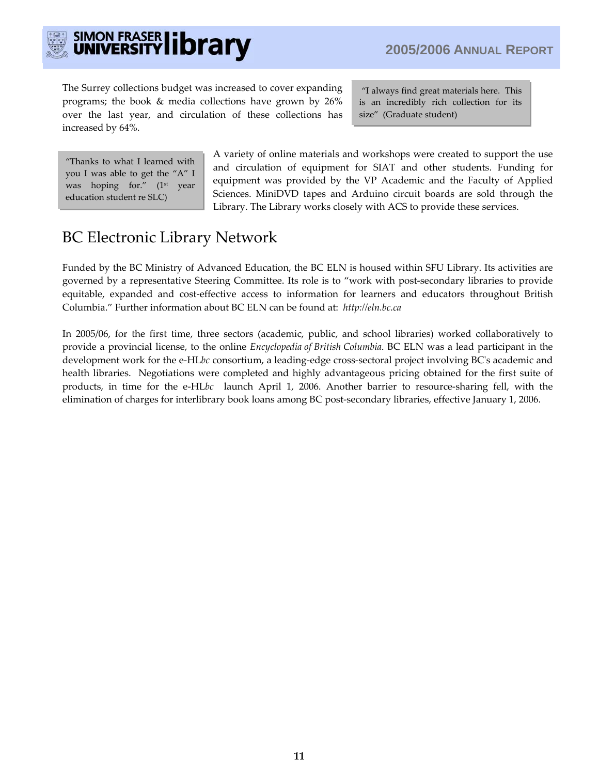

# SIMON FRASER library

The Surrey collections budget was increased to cover expanding programs; the book & media collections have grown by 26% over the last year, and circulation of these collections has increased by 64%.

"I always find great materials here. This is an incredibly rich collection for its size" (Graduate student)

"Thanks to what I learned with you I was able to get the "A" I was hoping for." (1<sup>st</sup> year education student re SLC)

A variety of online materials and workshops were created to support the use and circulation of equipment for SIAT and other students. Funding for equipment was provided by the VP Academic and the Faculty of Applied Sciences. MiniDVD tapes and Arduino circuit boards are sold through the Library. The Library works closely with ACS to provide these services.

# BC Electronic Library Network

Funded by the BC Ministry of Advanced Education, the BC ELN is housed within SFU Library. Its activities are governed by a representative Steering Committee. Its role is to "work with post-secondary libraries to provide equitable, expanded and cost-effective access to information for learners and educators throughout British Columbia." Further information about BC ELN can be found at: *http://eln.bc.ca*

In 2005/06, for the first time, three sectors (academic, public, and school libraries) worked collaboratively to provide a provincial license, to the online *Encyclopedia of British Columbia*. BC ELN was a lead participant in the development work for the e-HL*bc* consortium, a leading-edge cross-sectoral project involving BC's academic and health libraries. Negotiations were completed and highly advantageous pricing obtained for the first suite of products, in time for the e-HL*bc* launch April 1, 2006. Another barrier to resource-sharing fell, with the elimination of charges for interlibrary book loans among BC post-secondary libraries, effective January 1, 2006.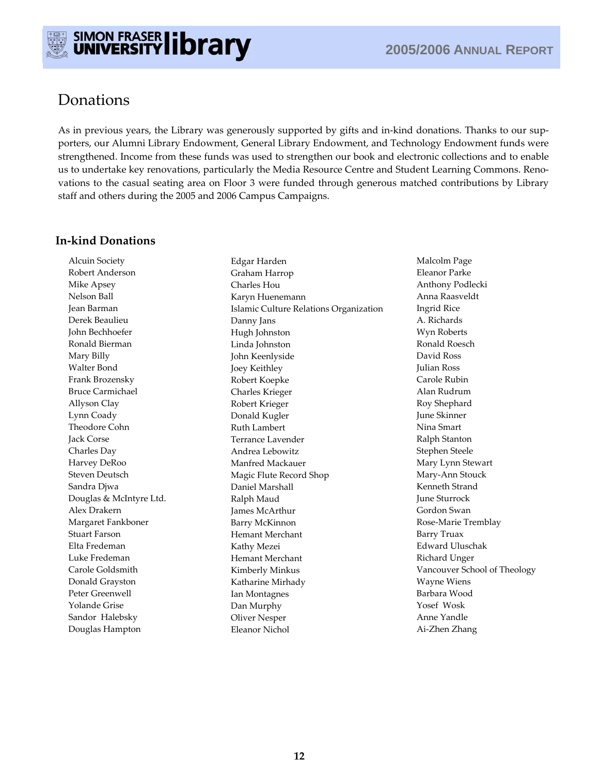

# Donations

As in previous years, the Library was generously supported by gifts and in-kind donations. Thanks to our supporters, our Alumni Library Endowment, General Library Endowment, and Technology Endowment funds were strengthened. Income from these funds was used to strengthen our book and electronic collections and to enable us to undertake key renovations, particularly the Media Resource Centre and Student Learning Commons. Renovations to the casual seating area on Floor 3 were funded through generous matched contributions by Library staff and others during the 2005 and 2006 Campus Campaigns.

## **In-kind Donations**

Alcuin Society Robert Anderson Mike Apsey Nelson Ball Jean Barman Derek Beaulieu John Bechhoefer Ronald Bierman Mary Billy Walter Bond Frank Brozensky Bruce Carmichael Allyson Clay Lynn Coady Theodore Cohn Jack Corse Charles Day Harvey DeRoo Steven Deutsch Sandra Djwa Douglas & McIntyre Ltd. Alex Drakern Margaret Fankboner Stuart Farson Elta Fredeman Luke Fredeman Carole Goldsmith Donald Grayston Peter Greenwell Yolande Grise Sandor Halebsky Douglas Hampton

Edgar Harden Graham Harrop Charles Hou Karyn Huenemann Islamic Culture Relations Organization Danny Jans Hugh Johnston Linda Johnston John Keenlyside Joey Keithley Robert Koepke Charles Krieger Robert Krieger Donald Kugler Ruth Lambert Terrance Lavender Andrea Lebowitz Manfred Mackauer Magic Flute Record Shop Daniel Marshall Ralph Maud James McArthur Barry McKinnon Hemant Merchant Kathy Mezei Hemant Merchant Kimberly Minkus Katharine Mirhady Ian Montagnes Dan Murphy Oliver Nesper Eleanor Nichol

Malcolm Page Eleanor Parke Anthony Podlecki Anna Raasveldt Ingrid Rice A. Richards Wyn Roberts Ronald Roesch David Ross Julian Ross Carole Rubin Alan Rudrum Roy Shephard June Skinner Nina Smart Ralph Stanton Stephen Steele Mary Lynn Stewart Mary-Ann Stouck Kenneth Strand June Sturrock Gordon Swan Rose-Marie Tremblay Barry Truax Edward Uluschak Richard Unger Vancouver School of Theology Wayne Wiens Barbara Wood Yosef Wosk Anne Yandle Ai-Zhen Zhang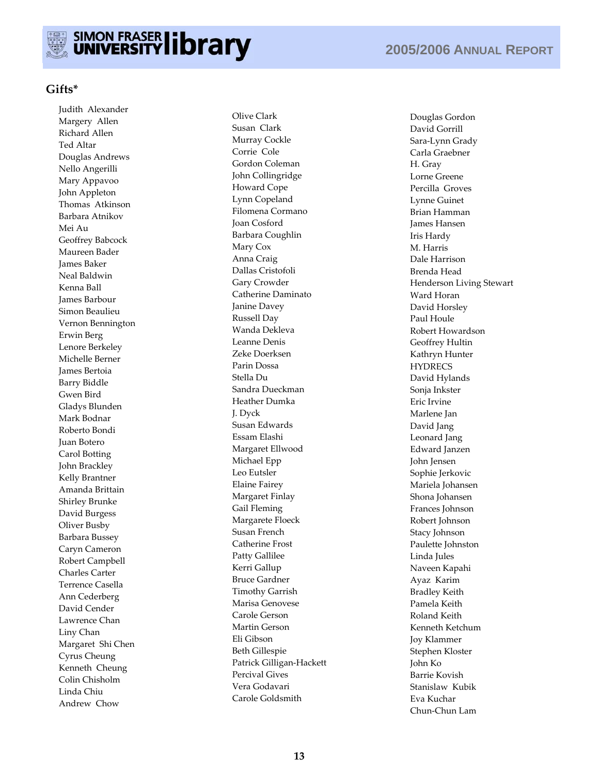

#### **Gifts\***

Judith Alexander Margery Allen Richard Allen Ted Altar Douglas Andrews Nello Angerilli Mary Appavoo John Appleton Thomas Atkinson Barbara Atnikov Mei Au Geoffrey Babcock Maureen Bader James Baker Neal Baldwin Kenna Ball James Barbour Simon Beaulieu Vernon Bennington Erwin Berg Lenore Berkeley Michelle Berner James Bertoia Barry Biddle Gwen Bird Gladys Blunden Mark Bodnar Roberto Bondi Juan Botero Carol Botting John Brackley Kelly Brantner Amanda Brittain Shirley Brunke David Burgess Oliver Busby Barbara Bussey Caryn Cameron Robert Campbell Charles Carter Terrence Casella Ann Cederberg David Cender Lawrence Chan Liny Chan Margaret Shi Chen Cyrus Cheung Kenneth Cheung Colin Chisholm Linda Chiu Andrew Chow

Olive Clark Susan Clark Murray Cockle Corrie Cole Gordon Coleman John Collingridge Howard Cope Lynn Copeland Filomena Cormano Joan Cosford Barbara Coughlin Mary Cox Anna Craig Dallas Cristofoli Gary Crowder Catherine Daminato Janine Davey Russell Day Wanda Dekleva Leanne Denis Zeke Doerksen Parin Dossa Stella Du Sandra Dueckman Heather Dumka J. Dyck Susan Edwards Essam Elashi Margaret Ellwood Michael Epp Leo Eutsler Elaine Fairey Margaret Finlay Gail Fleming Margarete Floeck Susan French Catherine Frost Patty Gallilee Kerri Gallup Bruce Gardner Timothy Garrish Marisa Genovese Carole Gerson Martin Gerson Eli Gibson Beth Gillespie Patrick Gilligan-Hackett Percival Gives Vera Godavari Carole Goldsmith

Douglas Gordon David Gorrill Sara-Lynn Grady Carla Graebner H. Gray Lorne Greene Percilla Groves Lynne Guinet Brian Hamman James Hansen Iris Hardy M. Harris Dale Harrison Brenda Head Henderson Living Stewart Ward Horan David Horsley Paul Houle Robert Howardson Geoffrey Hultin Kathryn Hunter **HYDRECS** David Hylands Sonja Inkster Eric Irvine Marlene Jan David Jang Leonard Jang Edward Janzen John Jensen Sophie Jerkovic Mariela Johansen Shona Johansen Frances Johnson Robert Johnson Stacy Johnson Paulette Johnston Linda Jules Naveen Kapahi Ayaz Karim Bradley Keith Pamela Keith Roland Keith Kenneth Ketchum Joy Klammer Stephen Kloster John Ko Barrie Kovish Stanislaw Kubik Eva Kuchar Chun-Chun Lam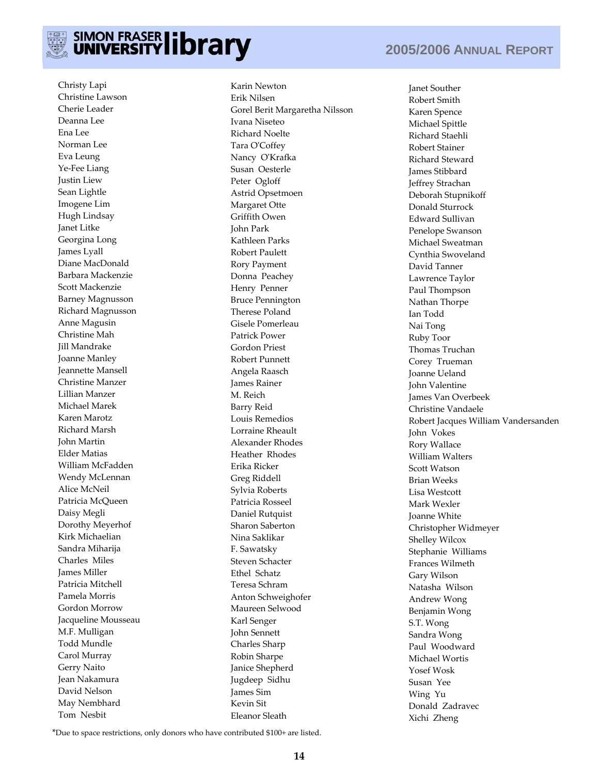

# SIMON FRASER library

Christy Lapi Christine Lawson Cherie Leader Deanna Lee Ena Lee Norman Lee Eva Leung Ye-Fee Liang Justin Liew Sean Lightle Imogene Lim Hugh Lindsay Janet Litke Georgina Long James Lyall Diane MacDonald Barbara Mackenzie Scott Mackenzie Barney Magnusson Richard Magnusson Anne Magusin Christine Mah Jill Mandrake Joanne Manley Jeannette Mansell Christine Manzer Lillian Manzer Michael Marek Karen Marotz Richard Marsh John Martin Elder Matias William McFadden Wendy McLennan Alice McNeil Patricia McQueen Daisy Megli Dorothy Meyerhof Kirk Michaelian Sandra Miharija Charles Miles James Miller Patricia Mitchell Pamela Morris Gordon Morrow Jacqueline Mousseau M.F. Mulligan Todd Mundle Carol Murray Gerry Naito Jean Nakamura David Nelson May Nembhard Tom Nesbit

Karin Newton Erik Nilsen Gorel Berit Margaretha Nilsson Ivana Niseteo Richard Noelte Tara O'Coffey Nancy O'Krafka Susan Oesterle Peter Ogloff Astrid Opsetmoen Margaret Otte Griffith Owen John Park Kathleen Parks Robert Paulett Rory Payment Donna Peachey Henry Penner Bruce Pennington Therese Poland Gisele Pomerleau Patrick Power Gordon Priest Robert Punnett Angela Raasch James Rainer M. Reich Barry Reid Louis Remedios Lorraine Rheault Alexander Rhodes Heather Rhodes Erika Ricker Greg Riddell Sylvia Roberts Patricia Rosseel Daniel Rutquist Sharon Saberton Nina Saklikar F. Sawatsky Steven Schacter Ethel Schatz Teresa Schram Anton Schweighofer Maureen Selwood Karl Senger John Sennett Charles Sharp Robin Sharpe Janice Shepherd Jugdeep Sidhu James Sim Kevin Sit Eleanor Sleath

# **2005/2006 ANNUAL REPORT**

Janet Souther Robert Smith Karen Spence Michael Spittle Richard Staehli Robert Stainer Richard Steward James Stibbard Jeffrey Strachan Deborah Stupnikoff Donald Sturrock Edward Sullivan Penelope Swanson Michael Sweatman Cynthia Swoveland David Tanner Lawrence Taylor Paul Thompson Nathan Thorpe Ian Todd Nai Tong Ruby Toor Thomas Truchan Corey Trueman Joanne Ueland John Valentine James Van Overbeek Christine Vandaele Robert Jacques William Vandersanden John Vokes Rory Wallace William Walters Scott Watson Brian Weeks Lisa Westcott Mark Wexler Joanne White Christopher Widmeyer Shelley Wilcox Stephanie Williams Frances Wilmeth Gary Wilson Natasha Wilson Andrew Wong Benjamin Wong S.T. Wong Sandra Wong Paul Woodward Michael Wortis Yosef Wosk Susan Yee Wing Yu Donald Zadravec Xichi Zheng

\*Due to space restrictions, only donors who have contributed \$100+ are listed.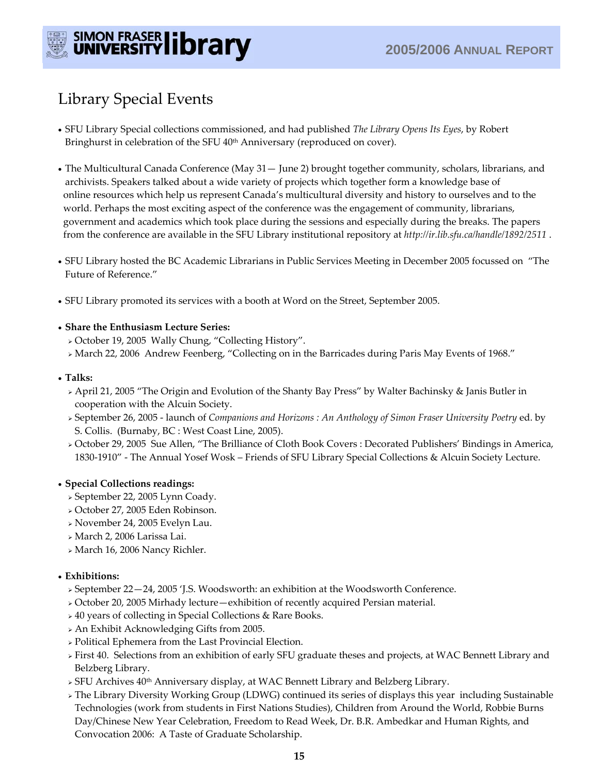

# Library Special Events

- SFU Library Special collections commissioned, and had published *The Library Opens Its Eyes*, by Robert Bringhurst in celebration of the SFU 40<sup>th</sup> Anniversary (reproduced on cover).
- The Multicultural Canada Conference (May 31— June 2) brought together community, scholars, librarians, and archivists. Speakers talked about a wide variety of projects which together form a knowledge base of online resources which help us represent Canada's multicultural diversity and history to ourselves and to the world. Perhaps the most exciting aspect of the conference was the engagement of community, librarians, government and academics which took place during the sessions and especially during the breaks. The papers from the conference are available in the SFU Library institutional repository at *http://ir.lib.sfu.ca/handle/1892/2511* .
- SFU Library hosted the BC Academic Librarians in Public Services Meeting in December 2005 focussed on "The Future of Reference."
- SFU Library promoted its services with a booth at Word on the Street, September 2005.

#### • **Share the Enthusiasm Lecture Series:**

- <sup>¾</sup>October 19, 2005 Wally Chung, "Collecting History".
- <sup>¾</sup>March 22, 2006 Andrew Feenberg, "Collecting on in the Barricades during Paris May Events of 1968."

#### • **Talks:**

- <sup>¾</sup>April 21, 2005 "The Origin and Evolution of the Shanty Bay Press" by Walter Bachinsky & Janis Butler in cooperation with the Alcuin Society.
- <sup>¾</sup>September 26, 2005 launch of *Companions and Horizons : An Anthology of Simon Fraser University Poetry* ed. by S. Collis. (Burnaby, BC : West Coast Line, 2005).
- <sup>¾</sup>October 29, 2005 Sue Allen, "The Brilliance of Cloth Book Covers : Decorated Publishers' Bindings in America, 1830-1910" - The Annual Yosef Wosk – Friends of SFU Library Special Collections & Alcuin Society Lecture.

#### • **Special Collections readings:**

- <sup>¾</sup>September 22, 2005 Lynn Coady.
- <sup>¾</sup>October 27, 2005 Eden Robinson.
- <sup>¾</sup>November 24, 2005 Evelyn Lau.
- <sup>¾</sup>March 2, 2006 Larissa Lai.
- <sup>¾</sup>March 16, 2006 Nancy Richler.

#### • **Exhibitions:**

- <sup>¾</sup>September 22—24, 2005 'J.S. Woodsworth: an exhibition at the Woodsworth Conference.
- <sup>¾</sup>October 20, 2005 Mirhady lecture—exhibition of recently acquired Persian material.
- <sup>¾</sup>40 years of collecting in Special Collections & Rare Books.
- <sup>¾</sup>An Exhibit Acknowledging Gifts from 2005.
- <sup>¾</sup>Political Ephemera from the Last Provincial Election.
- <sup>¾</sup>First 40. Selections from an exhibition of early SFU graduate theses and projects, at WAC Bennett Library and Belzberg Library.
- <sup>¾</sup>SFU Archives 40th Anniversary display, at WAC Bennett Library and Belzberg Library.
- <sup>¾</sup>The Library Diversity Working Group (LDWG) continued its series of displays this year including Sustainable Technologies (work from students in First Nations Studies), Children from Around the World, Robbie Burns Day/Chinese New Year Celebration, Freedom to Read Week, Dr. B.R. Ambedkar and Human Rights, and Convocation 2006: A Taste of Graduate Scholarship.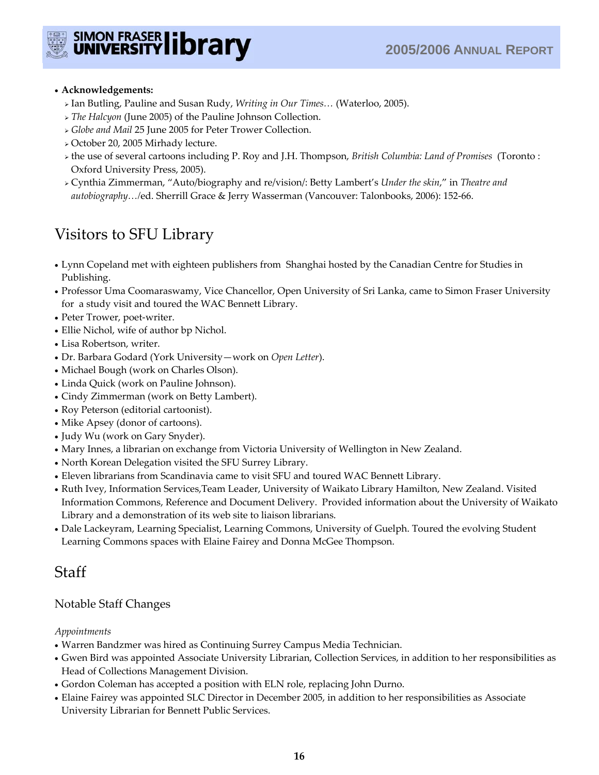

#### • **Acknowledgements:**

- <sup>¾</sup>Ian Butling, Pauline and Susan Rudy, *Writing in Our Times…* (Waterloo, 2005).
- <sup>¾</sup>*The Halcyon* (June 2005) of the Pauline Johnson Collection.
- <sup>¾</sup>*Globe and Mail* 25 June 2005 for Peter Trower Collection.
- <sup>¾</sup>October 20, 2005 Mirhady lecture.
- <sup>¾</sup>the use of several cartoons including P. Roy and J.H. Thompson, *British Columbia: Land of Promises* (Toronto : Oxford University Press, 2005).
- <sup>¾</sup>Cynthia Zimmerman, "Auto/biography and re/vision/: Betty Lambert's *Under the skin*," in *Theatre and autobiography…/*ed. Sherrill Grace & Jerry Wasserman (Vancouver: Talonbooks, 2006): 152-66.

# Visitors to SFU Library

- Lynn Copeland met with eighteen publishers from Shanghai hosted by the Canadian Centre for Studies in Publishing.
- Professor Uma Coomaraswamy, Vice Chancellor, Open University of Sri Lanka, came to Simon Fraser University for a study visit and toured the WAC Bennett Library.
- Peter Trower, poet-writer.
- Ellie Nichol, wife of author bp Nichol.
- Lisa Robertson, writer.
- Dr. Barbara Godard (York University—work on *Open Letter*).
- Michael Bough (work on Charles Olson).
- Linda Quick (work on Pauline Johnson).
- Cindy Zimmerman (work on Betty Lambert).
- Roy Peterson (editorial cartoonist).
- Mike Apsey (donor of cartoons).
- Judy Wu (work on Gary Snyder).
- Mary Innes, a librarian on exchange from Victoria University of Wellington in New Zealand.
- North Korean Delegation visited the SFU Surrey Library.
- Eleven librarians from Scandinavia came to visit SFU and toured WAC Bennett Library.
- Ruth Ivey, Information Services,Team Leader, University of Waikato Library Hamilton, New Zealand. Visited Information Commons, Reference and Document Delivery. Provided information about the University of Waikato Library and a demonstration of its web site to liaison librarians.
- Dale Lackeyram, Learning Specialist, Learning Commons, University of Guelph. Toured the evolving Student Learning Commons spaces with Elaine Fairey and Donna McGee Thompson.

# Staff

## Notable Staff Changes

#### *Appointments*

- Warren Bandzmer was hired as Continuing Surrey Campus Media Technician.
- Gwen Bird was appointed Associate University Librarian, Collection Services, in addition to her responsibilities as Head of Collections Management Division.
- Gordon Coleman has accepted a position with ELN role, replacing John Durno.
- Elaine Fairey was appointed SLC Director in December 2005, in addition to her responsibilities as Associate University Librarian for Bennett Public Services.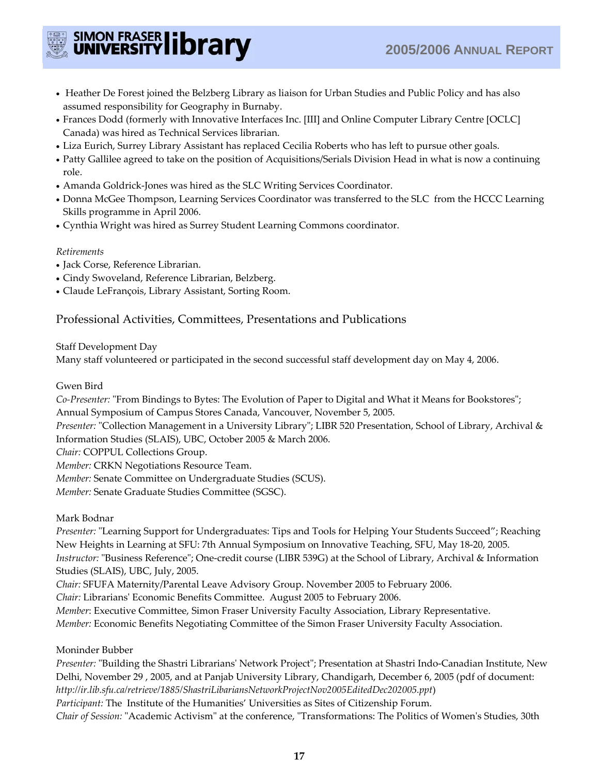

- Heather De Forest joined the Belzberg Library as liaison for Urban Studies and Public Policy and has also assumed responsibility for Geography in Burnaby.
- Frances Dodd (formerly with Innovative Interfaces Inc. [III] and Online Computer Library Centre [OCLC] Canada) was hired as Technical Services librarian.
- Liza Eurich, Surrey Library Assistant has replaced Cecilia Roberts who has left to pursue other goals.
- Patty Gallilee agreed to take on the position of Acquisitions/Serials Division Head in what is now a continuing role.
- Amanda Goldrick-Jones was hired as the SLC Writing Services Coordinator.
- Donna McGee Thompson, Learning Services Coordinator was transferred to the SLC from the HCCC Learning Skills programme in April 2006.
- Cynthia Wright was hired as Surrey Student Learning Commons coordinator.

#### *Retirements*

- Jack Corse, Reference Librarian.
- Cindy Swoveland, Reference Librarian, Belzberg.
- Claude LeFrançois, Library Assistant, Sorting Room.

## Professional Activities, Committees, Presentations and Publications

Staff Development Day

Many staff volunteered or participated in the second successful staff development day on May 4, 2006.

#### Gwen Bird

*Co-Presenter:* "From Bindings to Bytes: The Evolution of Paper to Digital and What it Means for Bookstores"; Annual Symposium of Campus Stores Canada, Vancouver, November 5, 2005.

*Presenter:* "Collection Management in a University Library"; LIBR 520 Presentation, School of Library, Archival & Information Studies (SLAIS), UBC, October 2005 & March 2006.

*Chair:* COPPUL Collections Group.

*Member:* CRKN Negotiations Resource Team.

*Member:* Senate Committee on Undergraduate Studies (SCUS).

*Member:* Senate Graduate Studies Committee (SGSC).

#### Mark Bodnar

*Presenter:* "Learning Support for Undergraduates: Tips and Tools for Helping Your Students Succeed"; Reaching New Heights in Learning at SFU: 7th Annual Symposium on Innovative Teaching, SFU, May 18-20, 2005. *Instructor:* "Business Reference"; One-credit course (LIBR 539G) at the School of Library, Archival & Information Studies (SLAIS), UBC, July, 2005.

*Chair:* SFUFA Maternity/Parental Leave Advisory Group. November 2005 to February 2006.

*Chair:* Librarians' Economic Benefits Committee. August 2005 to February 2006.

*Member*: Executive Committee, Simon Fraser University Faculty Association, Library Representative.

*Member:* Economic Benefits Negotiating Committee of the Simon Fraser University Faculty Association.

#### Moninder Bubber

*Presenter:* "Building the Shastri Librarians' Network Project"; Presentation at Shastri Indo-Canadian Institute, New Delhi, November 29 , 2005, and at Panjab University Library, Chandigarh, December 6, 2005 (pdf of document: *http://ir.lib.sfu.ca/retrieve/1885/ShastriLibariansNetworkProjectNov2005EditedDec202005.ppt*)

*Participant:* The Institute of the Humanities' Universities as Sites of Citizenship Forum.

*Chair of Session:* "Academic Activism" at the conference, "Transformations: The Politics of Women's Studies, 30th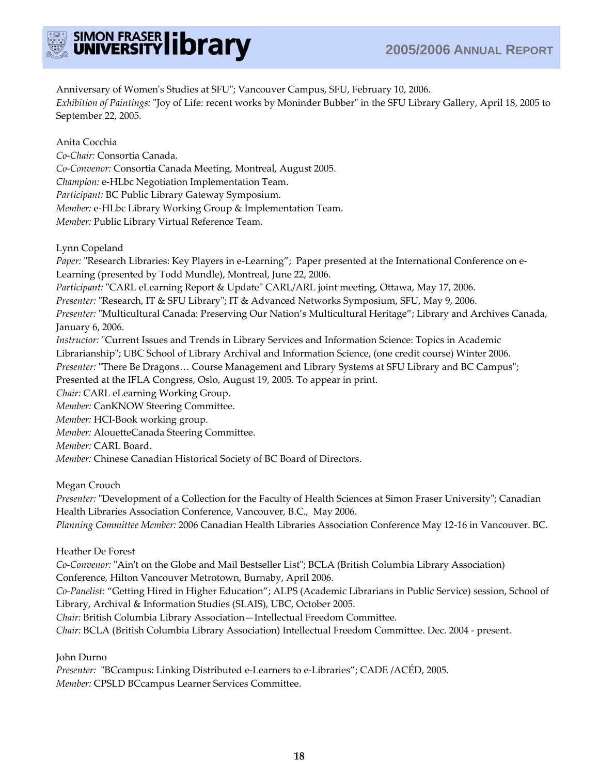

Anniversary of Women's Studies at SFU"; Vancouver Campus, SFU, February 10, 2006. *Exhibition of Paintings:* "Joy of Life: recent works by Moninder Bubber" in the SFU Library Gallery, April 18, 2005 to September 22, 2005.

Anita Cocchia

*Co-Chair:* Consortia Canada.

*Co-Convenor:* Consortia Canada Meeting, Montreal, August 2005.

*Champion:* e-HLbc Negotiation Implementation Team.

*Participant:* BC Public Library Gateway Symposium.

*Member:* e-HLbc Library Working Group & Implementation Team.

*Member:* Public Library Virtual Reference Team.

Lynn Copeland

*Paper:* "Research Libraries: Key Players in e-Learning"; Paper presented at the International Conference on e-Learning (presented by Todd Mundle), Montreal, June 22, 2006.

*Participant:* "CARL eLearning Report & Update" CARL/ARL joint meeting, Ottawa, May 17, 2006.

*Presenter:* "Research, IT & SFU Library"; IT & Advanced Networks Symposium, SFU, May 9, 2006.

*Presenter:* "Multicultural Canada: Preserving Our Nation's Multicultural Heritage"; Library and Archives Canada, January 6, 2006.

*Instructor:* "Current Issues and Trends in Library Services and Information Science: Topics in Academic

Librarianship"; UBC School of Library Archival and Information Science, (one credit course) Winter 2006.

*Presenter:* "There Be Dragons… Course Management and Library Systems at SFU Library and BC Campus";

Presented at the IFLA Congress, Oslo, August 19, 2005. To appear in print.

*Chair:* CARL eLearning Working Group.

*Member:* CanKNOW Steering Committee.

*Member:* HCI-Book working group.

*Member:* AlouetteCanada Steering Committee.

*Member:* CARL Board.

*Member:* Chinese Canadian Historical Society of BC Board of Directors.

Megan Crouch

*Presenter:* "Development of a Collection for the Faculty of Health Sciences at Simon Fraser University"; Canadian Health Libraries Association Conference, Vancouver, B.C., May 2006.

*Planning Committee Member:* 2006 Canadian Health Libraries Association Conference May 12-16 in Vancouver. BC.

Heather De Forest

*Co-Convenor:* "Ain't on the Globe and Mail Bestseller List"; BCLA (British Columbia Library Association) Conference, Hilton Vancouver Metrotown, Burnaby, April 2006.

*Co-Panelist:* "Getting Hired in Higher Education"; ALPS (Academic Librarians in Public Service) session, School of Library, Archival & Information Studies (SLAIS), UBC, October 2005.

*Chair:* British Columbia Library Association—Intellectual Freedom Committee.

*Chair:* BCLA (British Columbia Library Association) Intellectual Freedom Committee. Dec. 2004 - present.

John Durno

*Presenter:* "BCcampus: Linking Distributed e-Learners to e-Libraries"; CADE /ACÉD, 2005. *Member:* CPSLD BCcampus Learner Services Committee.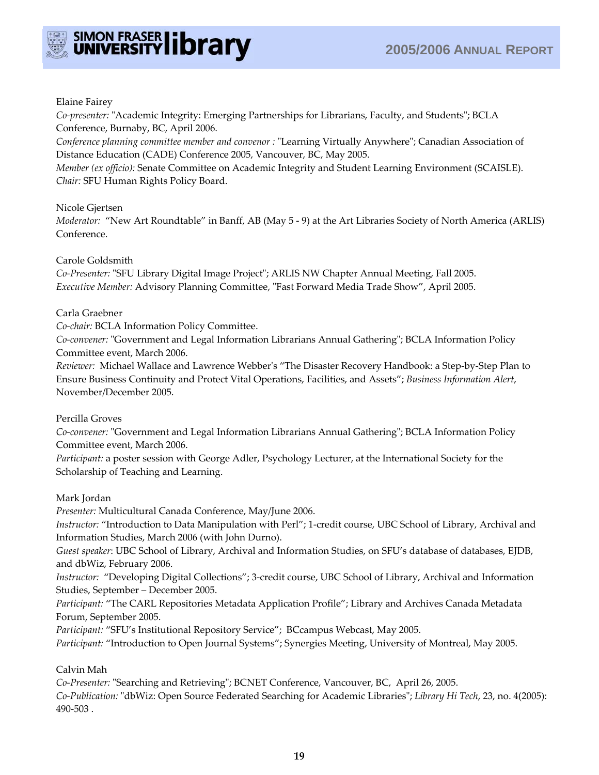



#### Elaine Fairey

*Co-presenter:* "Academic Integrity: Emerging Partnerships for Librarians, Faculty, and Students"; BCLA Conference, Burnaby, BC, April 2006.

*Conference planning committee member and convenor :* "Learning Virtually Anywhere"; Canadian Association of Distance Education (CADE) Conference 2005, Vancouver, BC, May 2005.

*Member (ex officio):* Senate Committee on Academic Integrity and Student Learning Environment (SCAISLE). *Chair:* SFU Human Rights Policy Board.

#### Nicole Gjertsen

*Moderator:* "New Art Roundtable" in Banff, AB (May 5 - 9) at the Art Libraries Society of North America (ARLIS) Conference.

#### Carole Goldsmith

*Co-Presenter:* "SFU Library Digital Image Project"; ARLIS NW Chapter Annual Meeting, Fall 2005. *Executive Member:* Advisory Planning Committee, "Fast Forward Media Trade Show", April 2005.

#### Carla Graebner

*Co-chair:* BCLA Information Policy Committee.

*Co-convener:* "Government and Legal Information Librarians Annual Gathering"; BCLA Information Policy Committee event, March 2006.

*Reviewer:* Michael Wallace and Lawrence Webber's "The Disaster Recovery Handbook: a Step-by-Step Plan to Ensure Business Continuity and Protect Vital Operations, Facilities, and Assets"; *Business Information Alert*, November/December 2005.

Percilla Groves

*Co-convener:* "Government and Legal Information Librarians Annual Gathering"; BCLA Information Policy Committee event, March 2006.

*Participant:* a poster session with George Adler, Psychology Lecturer, at the International Society for the Scholarship of Teaching and Learning.

## Mark Jordan

*Presenter:* Multicultural Canada Conference, May/June 2006.

*Instructor:* "Introduction to Data Manipulation with Perl"; 1-credit course, UBC School of Library, Archival and Information Studies, March 2006 (with John Durno).

*Guest speaker*: UBC School of Library, Archival and Information Studies, on SFU's database of databases, EJDB, and dbWiz, February 2006.

*Instructor:* "Developing Digital Collections"; 3-credit course, UBC School of Library, Archival and Information Studies, September – December 2005.

*Participant:* "The CARL Repositories Metadata Application Profile"; Library and Archives Canada Metadata Forum, September 2005.

*Participant:* "SFU's Institutional Repository Service"; BCcampus Webcast, May 2005.

*Participant:* "Introduction to Open Journal Systems"; Synergies Meeting, University of Montreal, May 2005.

## Calvin Mah

*Co-Presenter:* "Searching and Retrieving"; BCNET Conference, Vancouver, BC, April 26, 2005. *Co-Publication:* "dbWiz: Open Source Federated Searching for Academic Libraries"; *Library Hi Tech*, 23, no. 4(2005): 490-503 .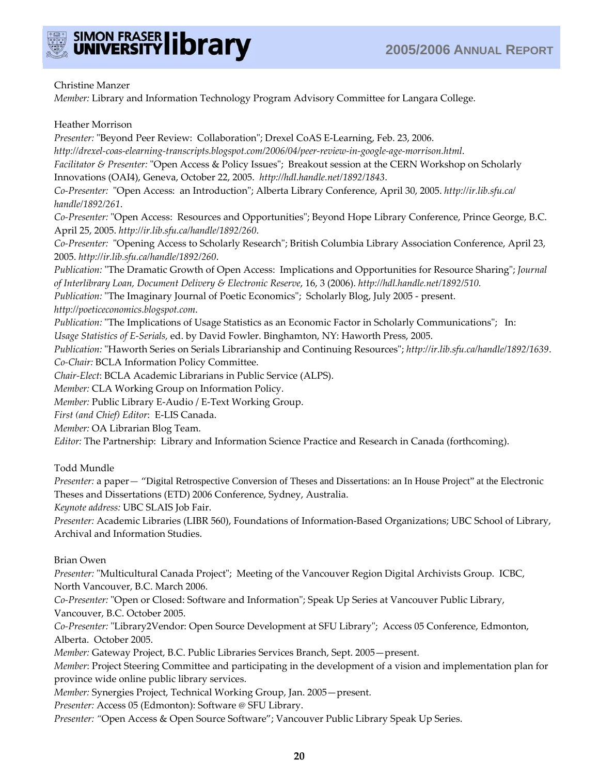

#### Christine Manzer

*Member:* Library and Information Technology Program Advisory Committee for Langara College.

#### Heather Morrison

*Presenter:* "Beyond Peer Review: Collaboration"; Drexel CoAS E-Learning, Feb. 23, 2006. *http://drexel-coas-elearning-transcripts.blogspot.com/2006/04/peer-review-in-google-age-morrison.html*. *Facilitator & Presenter:* "Open Access & Policy Issues"; Breakout session at the CERN Workshop on Scholarly Innovations (OAI4), Geneva, October 22, 2005. *http://hdl.handle.net/1892/1843*. *Co-Presenter:* "Open Access: an Introduction"; Alberta Library Conference, April 30, 2005. *http://ir.lib.sfu.ca/ handle/1892/261*. *Co-Presenter:* "Open Access: Resources and Opportunities"; Beyond Hope Library Conference, Prince George, B.C. April 25, 2005. *http://ir.lib.sfu.ca/handle/1892/260*. *Co-Presenter:* "Opening Access to Scholarly Research"; British Columbia Library Association Conference, April 23, 2005. *http://ir.lib.sfu.ca/handle/1892/260*. *Publication:* "The Dramatic Growth of Open Access: Implications and Opportunities for Resource Sharing"; *Journal of Interlibrary Loan, Document Delivery & Electronic Reserve*, 16, 3 (2006). *http://hdl.handle.net/1892/510. Publication:* "The Imaginary Journal of Poetic Economics"; Scholarly Blog, July 2005 - present. *http://poeticeconomics.blogspot.com*. *Publication:* "The Implications of Usage Statistics as an Economic Factor in Scholarly Communications"; In: *Usage Statistics of E-Serials,* ed. by David Fowler. Binghamton, NY: Haworth Press, 2005. *Publication:* "Haworth Series on Serials Librarianship and Continuing Resources"; *http://ir.lib.sfu.ca/handle/1892/1639*. *Co-Chair:* BCLA Information Policy Committee. *Chair-Elect*: BCLA Academic Librarians in Public Service (ALPS). *Member:* CLA Working Group on Information Policy.

*Member:* Public Library E-Audio / E-Text Working Group.

*First (and Chief) Editor*: E-LIS Canada.

*Member:* OA Librarian Blog Team.

*Editor:* The Partnership: Library and Information Science Practice and Research in Canada (forthcoming).

#### Todd Mundle

*Presenter:* a paper*—* "Digital Retrospective Conversion of Theses and Dissertations: an In House Project" at the Electronic Theses and Dissertations (ETD) 2006 Conference, Sydney, Australia.

*Keynote address:* UBC SLAIS Job Fair.

*Presenter:* Academic Libraries (LIBR 560), Foundations of Information-Based Organizations; UBC School of Library, Archival and Information Studies.

#### Brian Owen

*Presenter:* "Multicultural Canada Project"; Meeting of the Vancouver Region Digital Archivists Group. ICBC, North Vancouver, B.C. March 2006.

*Co-Presenter:* "Open or Closed: Software and Information"; Speak Up Series at Vancouver Public Library, Vancouver, B.C. October 2005.

*Co-Presenter:* "Library2Vendor: Open Source Development at SFU Library"; Access 05 Conference, Edmonton, Alberta. October 2005.

*Member:* Gateway Project, B.C. Public Libraries Services Branch, Sept. 2005—present.

*Member*: Project Steering Committee and participating in the development of a vision and implementation plan for province wide online public library services.

*Member:* Synergies Project, Technical Working Group, Jan. 2005—present.

*Presenter:* Access 05 (Edmonton): Software @ SFU Library.

*Presenter: "*Open Access & Open Source Software"; Vancouver Public Library Speak Up Series.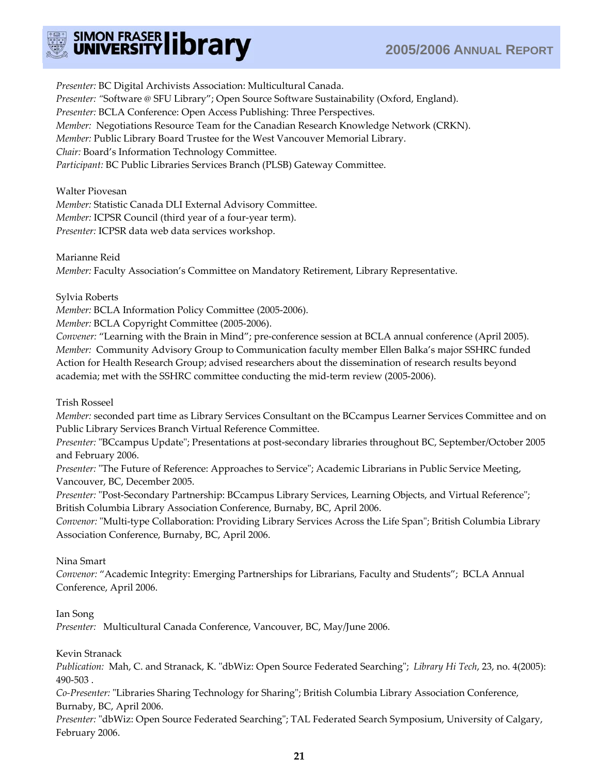

*Presenter:* BC Digital Archivists Association: Multicultural Canada. *Presenter: "*Software @ SFU Library"; Open Source Software Sustainability (Oxford, England). *Presenter:* BCLA Conference: Open Access Publishing: Three Perspectives. *Member:* Negotiations Resource Team for the Canadian Research Knowledge Network (CRKN). *Member:* Public Library Board Trustee for the West Vancouver Memorial Library. *Chair:* Board's Information Technology Committee. *Participant:* BC Public Libraries Services Branch (PLSB) Gateway Committee.

Walter Piovesan *Member:* Statistic Canada DLI External Advisory Committee. *Member:* ICPSR Council (third year of a four-year term). *Presenter:* ICPSR data web data services workshop.

Marianne Reid

*Member:* Faculty Association's Committee on Mandatory Retirement, Library Representative.

Sylvia Roberts

*Member:* BCLA Information Policy Committee (2005-2006).

*Member:* BCLA Copyright Committee (2005-2006).

*Convener:* "Learning with the Brain in Mind"; pre-conference session at BCLA annual conference (April 2005). *Member:* Community Advisory Group to Communication faculty member Ellen Balka's major SSHRC funded Action for Health Research Group; advised researchers about the dissemination of research results beyond academia; met with the SSHRC committee conducting the mid-term review (2005-2006).

Trish Rosseel

*Member:* seconded part time as Library Services Consultant on the BCcampus Learner Services Committee and on Public Library Services Branch Virtual Reference Committee.

*Presenter:* "BCcampus Update"; Presentations at post-secondary libraries throughout BC, September/October 2005 and February 2006.

*Presenter:* "The Future of Reference: Approaches to Service"; Academic Librarians in Public Service Meeting, Vancouver, BC, December 2005.

*Presenter:* "Post-Secondary Partnership: BCcampus Library Services, Learning Objects, and Virtual Reference"; British Columbia Library Association Conference, Burnaby, BC, April 2006.

*Convenor:* "Multi-type Collaboration: Providing Library Services Across the Life Span"; British Columbia Library Association Conference, Burnaby, BC, April 2006.

Nina Smart

*Convenor:* "Academic Integrity: Emerging Partnerships for Librarians, Faculty and Students"; BCLA Annual Conference, April 2006.

Ian Song

*Presenter:* Multicultural Canada Conference, Vancouver, BC, May/June 2006.

Kevin Stranack

*Publication:* Mah, C. and Stranack, K. "dbWiz: Open Source Federated Searching"; *Library Hi Tech*, 23, no. 4(2005): 490-503 .

*Co-Presenter:* "Libraries Sharing Technology for Sharing"; British Columbia Library Association Conference, Burnaby, BC, April 2006.

*Presenter:* "dbWiz: Open Source Federated Searching"; TAL Federated Search Symposium, University of Calgary, February 2006.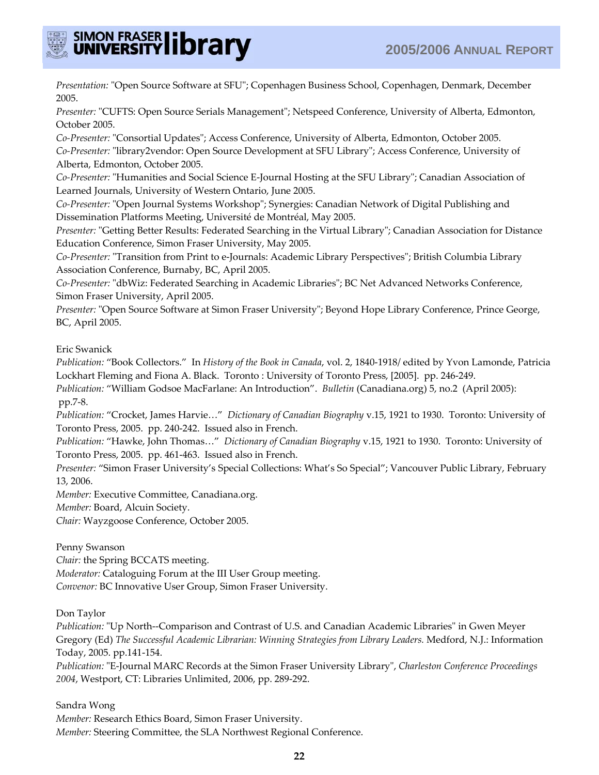

*Presentation:* "Open Source Software at SFU"; Copenhagen Business School, Copenhagen, Denmark, December 2005.

*Presenter:* "CUFTS: Open Source Serials Management"; Netspeed Conference, University of Alberta, Edmonton, October 2005.

*Co-Presenter:* "Consortial Updates"; Access Conference, University of Alberta, Edmonton, October 2005. *Co-Presenter:* "library2vendor: Open Source Development at SFU Library"; Access Conference, University of Alberta, Edmonton, October 2005.

*Co-Presenter:* "Humanities and Social Science E-Journal Hosting at the SFU Library"; Canadian Association of Learned Journals, University of Western Ontario, June 2005.

*Co-Presenter:* "Open Journal Systems Workshop"; Synergies: Canadian Network of Digital Publishing and Dissemination Platforms Meeting, Université de Montréal, May 2005.

*Presenter:* "Getting Better Results: Federated Searching in the Virtual Library"; Canadian Association for Distance Education Conference, Simon Fraser University, May 2005.

*Co-Presenter:* "Transition from Print to e-Journals: Academic Library Perspectives"; British Columbia Library Association Conference, Burnaby, BC, April 2005.

*Co-Presenter:* "dbWiz: Federated Searching in Academic Libraries"; BC Net Advanced Networks Conference, Simon Fraser University, April 2005.

*Presenter:* "Open Source Software at Simon Fraser University"; Beyond Hope Library Conference, Prince George, BC, April 2005.

Eric Swanick

*Publication:* "Book Collectors." In *History of the Book in Canada*, vol. 2, 1840-1918/ edited by Yvon Lamonde, Patricia Lockhart Fleming and Fiona A. Black. Toronto : University of Toronto Press, [2005]. pp. 246-249.

*Publication:* "William Godsoe MacFarlane: An Introduction". *Bulletin* (Canadiana.org) 5, no.2 (April 2005): pp.7-8.

*Publication:* "Crocket, James Harvie…" *Dictionary of Canadian Biography* v.15, 1921 to 1930. Toronto: University of Toronto Press, 2005. pp. 240-242. Issued also in French.

*Publication:* "Hawke, John Thomas…" *Dictionary of Canadian Biography* v.15, 1921 to 1930. Toronto: University of Toronto Press, 2005. pp. 461-463. Issued also in French.

*Presenter:* "Simon Fraser University's Special Collections: What's So Special"; Vancouver Public Library, February 13, 2006.

*Member:* Executive Committee, Canadiana.org.

*Member:* Board, Alcuin Society.

*Chair:* Wayzgoose Conference, October 2005.

Penny Swanson

*Chair:* the Spring BCCATS meeting. *Moderator:* Cataloguing Forum at the III User Group meeting. *Convenor:* BC Innovative User Group, Simon Fraser University.

Don Taylor

*Publication:* "Up North--Comparison and Contrast of U.S. and Canadian Academic Libraries" in Gwen Meyer Gregory (Ed) *The Successful Academic Librarian: Winning Strategies from Library Leaders.* Medford, N.J.: Information Today, 2005. pp.141-154.

*Publication:* "E-Journal MARC Records at the Simon Fraser University Library", *Charleston Conference Proceedings 2004*, Westport, CT: Libraries Unlimited, 2006, pp. 289-292.

Sandra Wong *Member:* Research Ethics Board, Simon Fraser University. *Member:* Steering Committee, the SLA Northwest Regional Conference.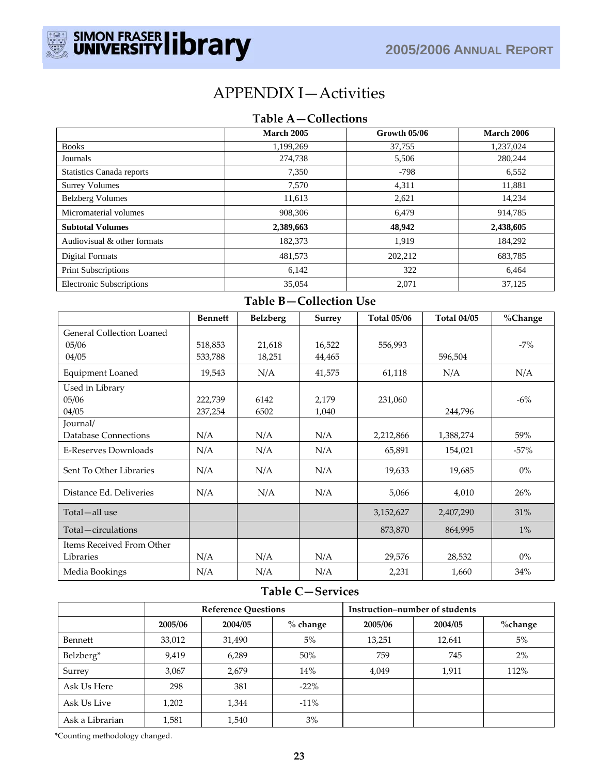

# APPENDIX I—Activities

# **Table A—Collections**

|                                  | March 2005 | Growth 05/06 | <b>March 2006</b> |
|----------------------------------|------------|--------------|-------------------|
| <b>Books</b>                     | 1.199.269  | 37.755       | 1,237,024         |
| Journals                         | 274,738    | 5,506        | 280,244           |
| <b>Statistics Canada reports</b> | 7,350      | $-798$       | 6,552             |
| <b>Surrey Volumes</b>            | 7,570      | 4,311        | 11,881            |
| <b>Belzberg Volumes</b>          | 11,613     | 2,621        | 14.234            |
| Micromaterial volumes            | 908,306    | 6,479        | 914,785           |
| <b>Subtotal Volumes</b>          | 2,389,663  | 48,942       | 2,438,605         |
| Audiovisual & other formats      | 182,373    | 1,919        | 184,292           |
| Digital Formats                  | 481,573    | 202,212      | 683,785           |
| Print Subscriptions              | 6,142      | 322          | 6,464             |
| <b>Electronic Subscriptions</b>  | 35,054     | 2,071        | 37,125            |

# **Table B—Collection Use**

|                                  | <b>Bennett</b> | <b>Belzberg</b> | Surrey | <b>Total 05/06</b> | <b>Total 04/05</b> | %Change |
|----------------------------------|----------------|-----------------|--------|--------------------|--------------------|---------|
| <b>General Collection Loaned</b> |                |                 |        |                    |                    |         |
| 05/06                            | 518,853        | 21,618          | 16,522 | 556,993            |                    | $-7%$   |
| 04/05                            | 533,788        | 18,251          | 44,465 |                    | 596,504            |         |
| Equipment Loaned                 | 19,543         | N/A             | 41,575 | 61,118             | N/A                | N/A     |
| Used in Library                  |                |                 |        |                    |                    |         |
| 05/06                            | 222,739        | 6142            | 2,179  | 231,060            |                    | $-6\%$  |
| 04/05                            | 237,254        | 6502            | 1,040  |                    | 244,796            |         |
| Journal/                         |                |                 |        |                    |                    |         |
| Database Connections             | N/A            | N/A             | N/A    | 2,212,866          | 1,388,274          | 59%     |
| E-Reserves Downloads             | N/A            | N/A             | N/A    | 65,891             | 154,021            | $-57%$  |
| Sent To Other Libraries          | N/A            | N/A             | N/A    | 19,633             | 19,685             | $0\%$   |
| Distance Ed. Deliveries          | N/A            | N/A             | N/A    | 5,066              | 4,010              | 26%     |
| Total-all use                    |                |                 |        | 3,152,627          | 2,407,290          | 31%     |
| Total-circulations               |                |                 |        | 873,870            | 864,995            | $1\%$   |
| Items Received From Other        |                |                 |        |                    |                    |         |
| Libraries                        | N/A            | N/A             | N/A    | 29,576             | 28,532             | $0\%$   |
| Media Bookings                   | N/A            | N/A             | N/A    | 2,231              | 1,660              | 34%     |

# **Table C—Services**

|                 | <b>Reference Questions</b> |         |            | Instruction-number of students |         |         |
|-----------------|----------------------------|---------|------------|--------------------------------|---------|---------|
|                 | 2005/06                    | 2004/05 | $%$ change | 2005/06                        | 2004/05 | %change |
| Bennett         | 33,012                     | 31,490  | $5\%$      | 13,251                         | 12,641  | 5%      |
| Belzberg*       | 9,419                      | 6,289   | 50%        | 759                            | 745     | 2%      |
| Surrey          | 3,067                      | 2,679   | 14%        | 4,049                          | 1,911   | 112%    |
| Ask Us Here     | 298                        | 381     | $-22\%$    |                                |         |         |
| Ask Us Live     | 1,202                      | 1,344   | $-11\%$    |                                |         |         |
| Ask a Librarian | 1,581                      | 1,540   | 3%         |                                |         |         |

\*Counting methodology changed.